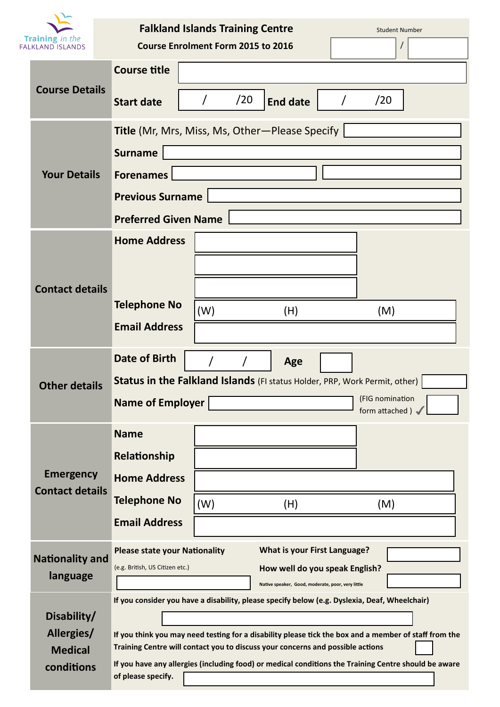|                                                   |                                            | <b>Falkland Islands Training Centre</b><br><b>Student Number</b>                                                                                                                                                                                                                                |                                           |                                     |     |                 |
|---------------------------------------------------|--------------------------------------------|-------------------------------------------------------------------------------------------------------------------------------------------------------------------------------------------------------------------------------------------------------------------------------------------------|-------------------------------------------|-------------------------------------|-----|-----------------|
| <b>Training</b> in the<br><b>FALKLAND ISLANDS</b> |                                            |                                                                                                                                                                                                                                                                                                 | <b>Course Enrolment Form 2015 to 2016</b> |                                     |     |                 |
|                                                   | <b>Course Details</b>                      | <b>Course title</b>                                                                                                                                                                                                                                                                             |                                           |                                     |     |                 |
|                                                   |                                            | <b>Start date</b>                                                                                                                                                                                                                                                                               | /20                                       | <b>End date</b>                     | /20 |                 |
|                                                   |                                            | Title (Mr, Mrs, Miss, Ms, Other-Please Specify                                                                                                                                                                                                                                                  |                                           |                                     |     |                 |
|                                                   | <b>Your Details</b>                        | <b>Surname</b>                                                                                                                                                                                                                                                                                  |                                           |                                     |     |                 |
|                                                   |                                            | <b>Forenames</b>                                                                                                                                                                                                                                                                                |                                           |                                     |     |                 |
|                                                   |                                            | <b>Previous Surname</b>                                                                                                                                                                                                                                                                         |                                           |                                     |     |                 |
|                                                   |                                            | <b>Preferred Given Name</b>                                                                                                                                                                                                                                                                     |                                           |                                     |     |                 |
|                                                   |                                            | <b>Home Address</b>                                                                                                                                                                                                                                                                             |                                           |                                     |     |                 |
|                                                   |                                            |                                                                                                                                                                                                                                                                                                 |                                           |                                     |     |                 |
|                                                   | <b>Contact details</b>                     |                                                                                                                                                                                                                                                                                                 |                                           |                                     |     |                 |
|                                                   |                                            | <b>Telephone No</b>                                                                                                                                                                                                                                                                             | (W)                                       | (H)                                 | (M) |                 |
|                                                   |                                            | <b>Email Address</b>                                                                                                                                                                                                                                                                            |                                           |                                     |     |                 |
|                                                   |                                            |                                                                                                                                                                                                                                                                                                 |                                           |                                     |     |                 |
|                                                   |                                            | <b>Date of Birth</b>                                                                                                                                                                                                                                                                            |                                           | Age                                 |     |                 |
|                                                   | <b>Other details</b>                       | <b>Status in the Falkland Islands</b> (FI status Holder, PRP, Work Permit, other)                                                                                                                                                                                                               |                                           |                                     |     | (FIG nomination |
|                                                   |                                            | <b>Name of Employer</b>                                                                                                                                                                                                                                                                         |                                           |                                     |     | form attached)  |
|                                                   | <b>Emergency</b><br><b>Contact details</b> | <b>Name</b>                                                                                                                                                                                                                                                                                     |                                           |                                     |     |                 |
|                                                   |                                            | Relationship                                                                                                                                                                                                                                                                                    |                                           |                                     |     |                 |
|                                                   |                                            | <b>Home Address</b>                                                                                                                                                                                                                                                                             |                                           |                                     |     |                 |
|                                                   |                                            | <b>Telephone No</b>                                                                                                                                                                                                                                                                             | (W)                                       | (H)                                 | (M) |                 |
|                                                   |                                            | <b>Email Address</b>                                                                                                                                                                                                                                                                            |                                           |                                     |     |                 |
|                                                   | <b>Nationality and</b><br>language         | <b>Please state your Nationality</b>                                                                                                                                                                                                                                                            |                                           | <b>What is your First Language?</b> |     |                 |
|                                                   |                                            | (e.g. British, US Citizen etc.)                                                                                                                                                                                                                                                                 |                                           | How well do you speak English?      |     |                 |
|                                                   |                                            | Native speaker, Good, moderate, poor, very little<br>If you consider you have a disability, please specify below (e.g. Dyslexia, Deaf, Wheelchair)                                                                                                                                              |                                           |                                     |     |                 |
|                                                   | Disability/                                | If you think you may need testing for a disability please tick the box and a member of staff from the<br>Training Centre will contact you to discuss your concerns and possible actions<br>If you have any allergies (including food) or medical conditions the Training Centre should be aware |                                           |                                     |     |                 |
|                                                   | Allergies/                                 |                                                                                                                                                                                                                                                                                                 |                                           |                                     |     |                 |
|                                                   | <b>Medical</b>                             |                                                                                                                                                                                                                                                                                                 |                                           |                                     |     |                 |
| conditions<br>of please specify.                  |                                            |                                                                                                                                                                                                                                                                                                 |                                           |                                     |     |                 |